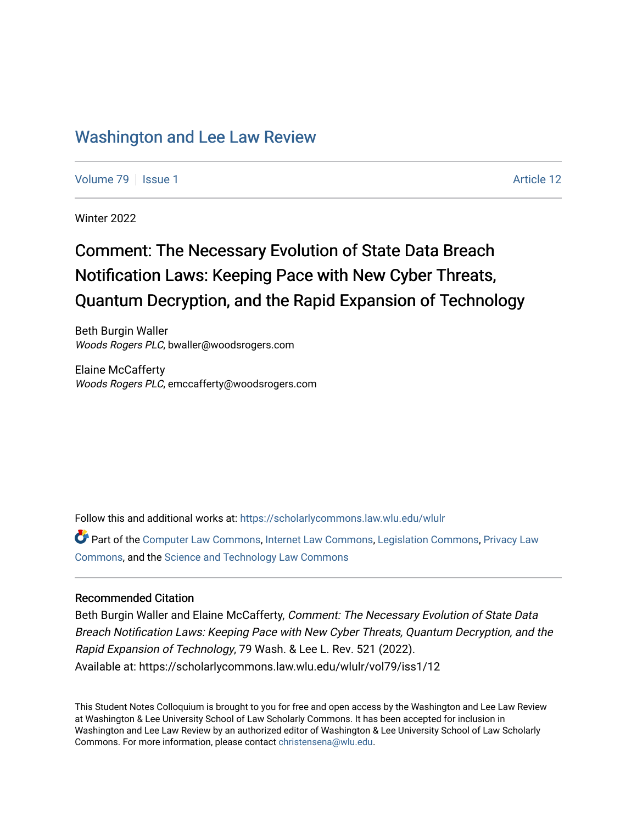## [Washington and Lee Law Review](https://scholarlycommons.law.wlu.edu/wlulr)

[Volume 79](https://scholarlycommons.law.wlu.edu/wlulr/vol79) | [Issue 1](https://scholarlycommons.law.wlu.edu/wlulr/vol79/iss1) Article 12

Winter 2022

## Comment: The Necessary Evolution of State Data Breach Notification Laws: Keeping Pace with New Cyber Threats, Quantum Decryption, and the Rapid Expansion of Technology

Beth Burgin Waller Woods Rogers PLC, bwaller@woodsrogers.com

Elaine McCafferty Woods Rogers PLC, emccafferty@woodsrogers.com

Follow this and additional works at: [https://scholarlycommons.law.wlu.edu/wlulr](https://scholarlycommons.law.wlu.edu/wlulr?utm_source=scholarlycommons.law.wlu.edu%2Fwlulr%2Fvol79%2Fiss1%2F12&utm_medium=PDF&utm_campaign=PDFCoverPages) 

Part of the [Computer Law Commons,](http://network.bepress.com/hgg/discipline/837?utm_source=scholarlycommons.law.wlu.edu%2Fwlulr%2Fvol79%2Fiss1%2F12&utm_medium=PDF&utm_campaign=PDFCoverPages) [Internet Law Commons,](http://network.bepress.com/hgg/discipline/892?utm_source=scholarlycommons.law.wlu.edu%2Fwlulr%2Fvol79%2Fiss1%2F12&utm_medium=PDF&utm_campaign=PDFCoverPages) [Legislation Commons](http://network.bepress.com/hgg/discipline/859?utm_source=scholarlycommons.law.wlu.edu%2Fwlulr%2Fvol79%2Fiss1%2F12&utm_medium=PDF&utm_campaign=PDFCoverPages), [Privacy Law](http://network.bepress.com/hgg/discipline/1234?utm_source=scholarlycommons.law.wlu.edu%2Fwlulr%2Fvol79%2Fiss1%2F12&utm_medium=PDF&utm_campaign=PDFCoverPages)  [Commons](http://network.bepress.com/hgg/discipline/1234?utm_source=scholarlycommons.law.wlu.edu%2Fwlulr%2Fvol79%2Fiss1%2F12&utm_medium=PDF&utm_campaign=PDFCoverPages), and the [Science and Technology Law Commons](http://network.bepress.com/hgg/discipline/875?utm_source=scholarlycommons.law.wlu.edu%2Fwlulr%2Fvol79%2Fiss1%2F12&utm_medium=PDF&utm_campaign=PDFCoverPages)

## Recommended Citation

Beth Burgin Waller and Elaine McCafferty, Comment: The Necessary Evolution of State Data Breach Notification Laws: Keeping Pace with New Cyber Threats, Quantum Decryption, and the Rapid Expansion of Technology, 79 Wash. & Lee L. Rev. 521 (2022). Available at: https://scholarlycommons.law.wlu.edu/wlulr/vol79/iss1/12

This Student Notes Colloquium is brought to you for free and open access by the Washington and Lee Law Review at Washington & Lee University School of Law Scholarly Commons. It has been accepted for inclusion in Washington and Lee Law Review by an authorized editor of Washington & Lee University School of Law Scholarly Commons. For more information, please contact [christensena@wlu.edu.](mailto:christensena@wlu.edu)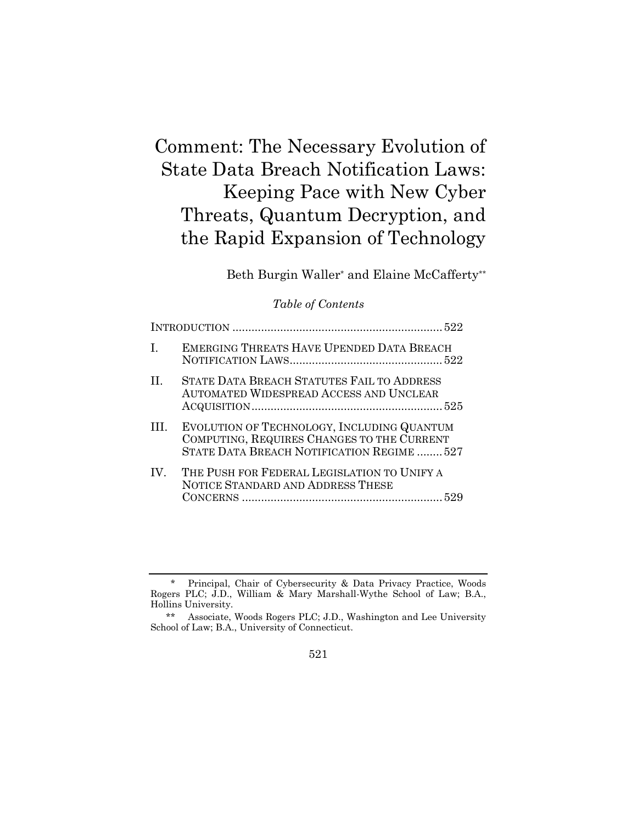# Comment: The Necessary Evolution of State Data Breach Notification Laws: Keeping Pace with New Cyber Threats, Quantum Decryption, and the Rapid Expansion of Technology

Beth Burgin Waller\* and Elaine McCafferty\*\*

## *Table of Contents*

| $\mathbf{I}$ | <b>EMERGING THREATS HAVE UPENDED DATA BREACH</b>                                                                                       |
|--------------|----------------------------------------------------------------------------------------------------------------------------------------|
| $\mathbf{H}$ | STATE DATA BREACH STATUTES FAIL TO ADDRESS<br><b>AUTOMATED WIDESPREAD ACCESS AND UNCLEAR</b>                                           |
| III.         | EVOLUTION OF TECHNOLOGY, INCLUDING QUANTUM<br>COMPUTING, REQUIRES CHANGES TO THE CURRENT<br>STATE DATA BREACH NOTIFICATION REGIME  527 |
| IV.          | THE PUSH FOR FEDERAL LEGISLATION TO UNIFY A<br>NOTICE STANDARD AND ADDRESS THESE                                                       |

Principal, Chair of Cybersecurity & Data Privacy Practice, Woods Rogers PLC; J.D., William & Mary Marshall-Wythe School of Law; B.A., Hollins University.

<sup>\*\*</sup> Associate, Woods Rogers PLC; J.D., Washington and Lee University School of Law; B.A., University of Connecticut.

<sup>521</sup>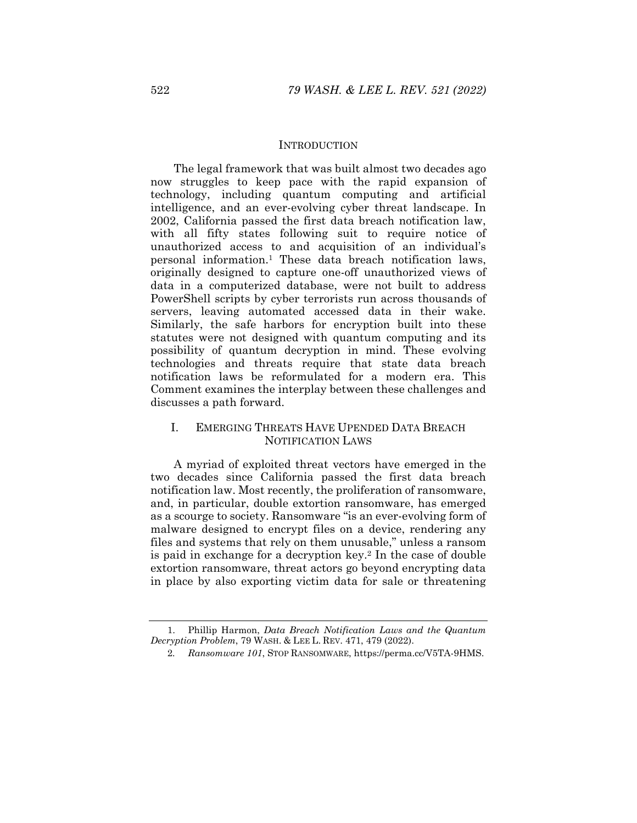#### **INTRODUCTION**

The legal framework that was built almost two decades ago now struggles to keep pace with the rapid expansion of technology, including quantum computing and artificial intelligence, and an ever-evolving cyber threat landscape. In 2002, California passed the first data breach notification law, with all fifty states following suit to require notice of unauthorized access to and acquisition of an individual's personal information.1 These data breach notification laws, originally designed to capture one-off unauthorized views of data in a computerized database, were not built to address PowerShell scripts by cyber terrorists run across thousands of servers, leaving automated accessed data in their wake. Similarly, the safe harbors for encryption built into these statutes were not designed with quantum computing and its possibility of quantum decryption in mind. These evolving technologies and threats require that state data breach notification laws be reformulated for a modern era. This Comment examines the interplay between these challenges and discusses a path forward.

## I. EMERGING THREATS HAVE UPENDED DATA BREACH NOTIFICATION LAWS

A myriad of exploited threat vectors have emerged in the two decades since California passed the first data breach notification law. Most recently, the proliferation of ransomware, and, in particular, double extortion ransomware, has emerged as a scourge to society. Ransomware "is an ever-evolving form of malware designed to encrypt files on a device, rendering any files and systems that rely on them unusable," unless a ransom is paid in exchange for a decryption key.2 In the case of double extortion ransomware, threat actors go beyond encrypting data in place by also exporting victim data for sale or threatening

 <sup>1.</sup> Phillip Harmon, *Data Breach Notification Laws and the Quantum Decryption Problem*, 79 WASH. & LEE L. REV. 471, 479 (2022).

<sup>2</sup>*. Ransomware 101*, STOP RANSOMWARE, https://perma.cc/V5TA-9HMS.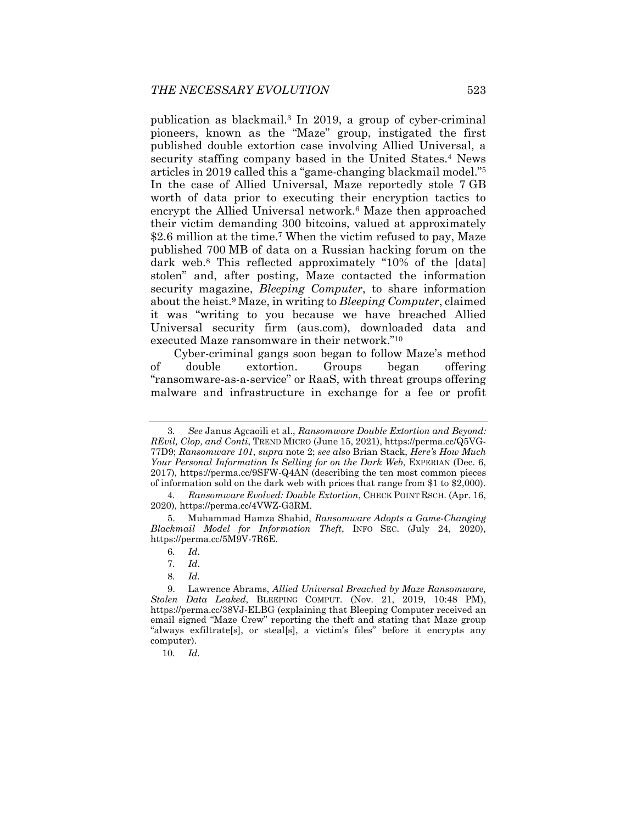publication as blackmail.3 In 2019, a group of cyber-criminal pioneers, known as the "Maze" group, instigated the first published double extortion case involving Allied Universal, a security staffing company based in the United States.<sup>4</sup> News articles in 2019 called this a "game-changing blackmail model."5 In the case of Allied Universal, Maze reportedly stole 7 GB worth of data prior to executing their encryption tactics to encrypt the Allied Universal network.<sup>6</sup> Maze then approached their victim demanding 300 bitcoins, valued at approximately \$2.6 million at the time.<sup>7</sup> When the victim refused to pay, Maze published 700 MB of data on a Russian hacking forum on the dark web.8 This reflected approximately "10% of the [data] stolen" and, after posting, Maze contacted the information security magazine, *Bleeping Computer*, to share information about the heist.9 Maze, in writing to *Bleeping Computer*, claimed it was "writing to you because we have breached Allied Universal security firm (aus.com), downloaded data and executed Maze ransomware in their network."10

Cyber-criminal gangs soon began to follow Maze's method of double extortion. Groups began offering "ransomware-as-a-service" or RaaS, with threat groups offering malware and infrastructure in exchange for a fee or profit

<sup>3</sup>*. See* Janus Agcaoili et al., *Ransomware Double Extortion and Beyond: REvil, Clop, and Conti*, TREND MICRO (June 15, 2021), https://perma.cc/Q5VG-77D9; *Ransomware 101*, *supra* note 2; *see also* Brian Stack, *Here's How Much Your Personal Information Is Selling for on the Dark Web*, EXPERIAN (Dec. 6, 2017), https://perma.cc/9SFW-Q4AN (describing the ten most common pieces of information sold on the dark web with prices that range from \$1 to \$2,000).

<sup>4</sup>*. Ransomware Evolved: Double Extortion*, CHECK POINT RSCH. (Apr. 16, 2020), https://perma.cc/4VWZ-G3RM.

 <sup>5.</sup> Muhammad Hamza Shahid, *Ransomware Adopts a Game-Changing Blackmail Model for Information Theft*, INFO SEC. (July 24, 2020), https://perma.cc/5M9V-7R6E.

<sup>6</sup>*. Id*.

<sup>7</sup>*. Id*.

<sup>8</sup>*. Id.*

 <sup>9.</sup> Lawrence Abrams, *Allied Universal Breached by Maze Ransomware, Stolen Data Leaked*, BLEEPING COMPUT. (Nov. 21, 2019, 10:48 PM), https://perma.cc/38VJ-ELBG (explaining that Bleeping Computer received an email signed "Maze Crew" reporting the theft and stating that Maze group "always exfiltrate[s], or steal[s], a victim's files" before it encrypts any computer).

<sup>10</sup>*. Id.*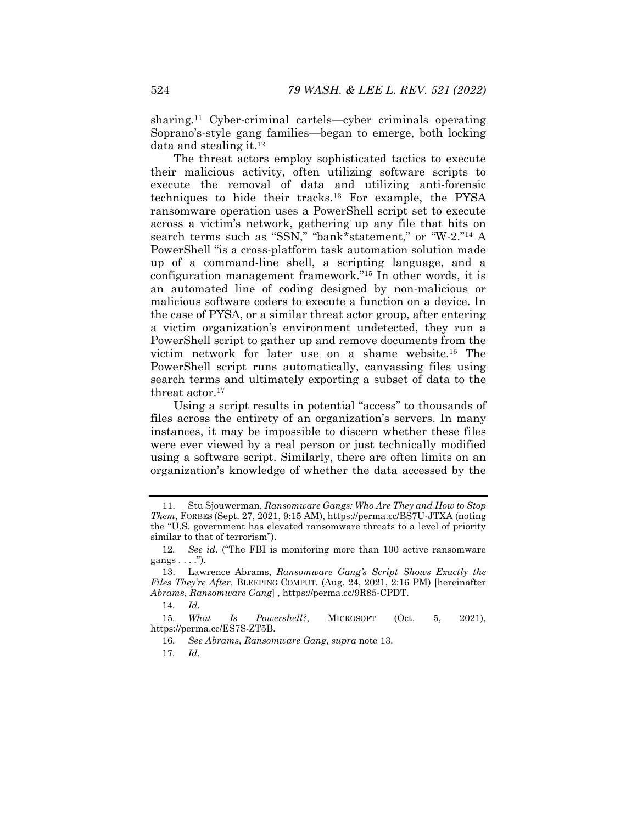sharing.11 Cyber-criminal cartels—cyber criminals operating Soprano's-style gang families—began to emerge, both locking data and stealing it.12

The threat actors employ sophisticated tactics to execute their malicious activity, often utilizing software scripts to execute the removal of data and utilizing anti-forensic techniques to hide their tracks.13 For example, the PYSA ransomware operation uses a PowerShell script set to execute across a victim's network, gathering up any file that hits on search terms such as "SSN," "bank\*statement," or "W-2."14 A PowerShell "is a cross-platform task automation solution made up of a command-line shell, a scripting language, and a configuration management framework."15 In other words, it is an automated line of coding designed by non-malicious or malicious software coders to execute a function on a device. In the case of PYSA, or a similar threat actor group, after entering a victim organization's environment undetected, they run a PowerShell script to gather up and remove documents from the victim network for later use on a shame website.16 The PowerShell script runs automatically, canvassing files using search terms and ultimately exporting a subset of data to the threat actor.<sup>17</sup>

Using a script results in potential "access" to thousands of files across the entirety of an organization's servers. In many instances, it may be impossible to discern whether these files were ever viewed by a real person or just technically modified using a software script. Similarly, there are often limits on an organization's knowledge of whether the data accessed by the

14*. Id*.

15*. What Is Powershell?*, MICROSOFT (Oct. 5, 2021), https://perma.cc/ES7S-ZT5B.

17*. Id.* 

 <sup>11.</sup> Stu Sjouwerman, *Ransomware Gangs: Who Are They and How to Stop Them*, FORBES (Sept. 27, 2021, 9:15 AM), https://perma.cc/BS7U-JTXA (noting the "U.S. government has elevated ransomware threats to a level of priority similar to that of terrorism").

<sup>12</sup>*. See id*. ("The FBI is monitoring more than 100 active ransomware gangs . . . .").

 <sup>13.</sup> Lawrence Abrams, *Ransomware Gang's Script Shows Exactly the Files They're After*, BLEEPING COMPUT. (Aug. 24, 2021, 2:16 PM) [hereinafter *Abrams*, *Ransomware Gang*] , https://perma.cc/9R85-CPDT.

<sup>16</sup>*. See Abrams*, *Ransomware Gang*, *supra* note 13.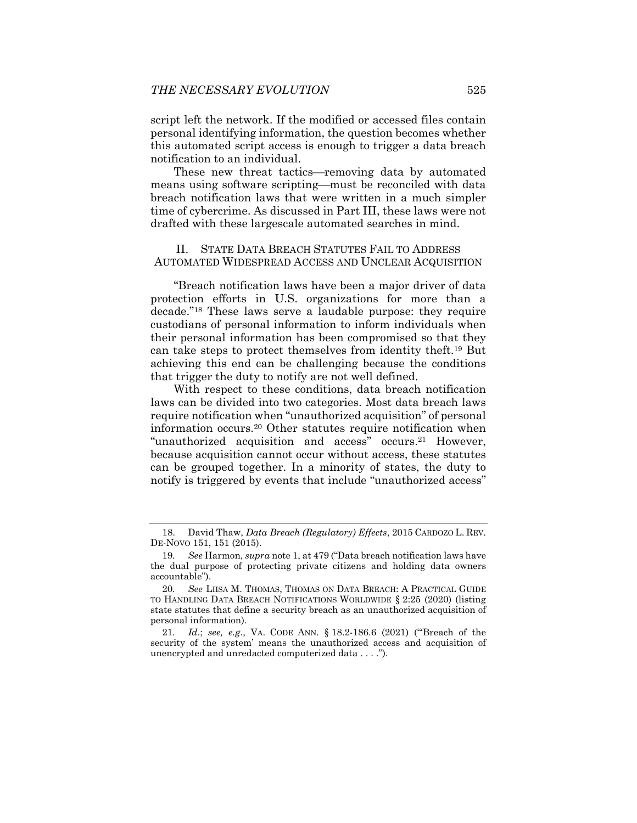script left the network. If the modified or accessed files contain personal identifying information, the question becomes whether this automated script access is enough to trigger a data breach notification to an individual.

These new threat tactics—removing data by automated means using software scripting—must be reconciled with data breach notification laws that were written in a much simpler time of cybercrime. As discussed in Part III, these laws were not drafted with these largescale automated searches in mind.

### II. STATE DATA BREACH STATUTES FAIL TO ADDRESS AUTOMATED WIDESPREAD ACCESS AND UNCLEAR ACQUISITION

"Breach notification laws have been a major driver of data protection efforts in U.S. organizations for more than a decade."18 These laws serve a laudable purpose: they require custodians of personal information to inform individuals when their personal information has been compromised so that they can take steps to protect themselves from identity theft.19 But achieving this end can be challenging because the conditions that trigger the duty to notify are not well defined.

With respect to these conditions, data breach notification laws can be divided into two categories. Most data breach laws require notification when "unauthorized acquisition" of personal information occurs.20 Other statutes require notification when "unauthorized acquisition and access" occurs.<sup>21</sup> However, because acquisition cannot occur without access, these statutes can be grouped together. In a minority of states, the duty to notify is triggered by events that include "unauthorized access"

 <sup>18.</sup> David Thaw, *Data Breach (Regulatory) Effects*, 2015 CARDOZO L. REV. DE-NOVO 151, 151 (2015).

<sup>19</sup>*. See* Harmon, *supra* note 1, at 479 ("Data breach notification laws have the dual purpose of protecting private citizens and holding data owners accountable").

<sup>20</sup>*. See* LIISA M. THOMAS, THOMAS ON DATA BREACH: A PRACTICAL GUIDE TO HANDLING DATA BREACH NOTIFICATIONS WORLDWIDE § 2:25 (2020) (listing state statutes that define a security breach as an unauthorized acquisition of personal information).

<sup>21</sup>*. Id*.; *see, e.g*., VA. CODE ANN. § 18.2-186.6 (2021) ("'Breach of the security of the system' means the unauthorized access and acquisition of unencrypted and unredacted computerized data . . . .").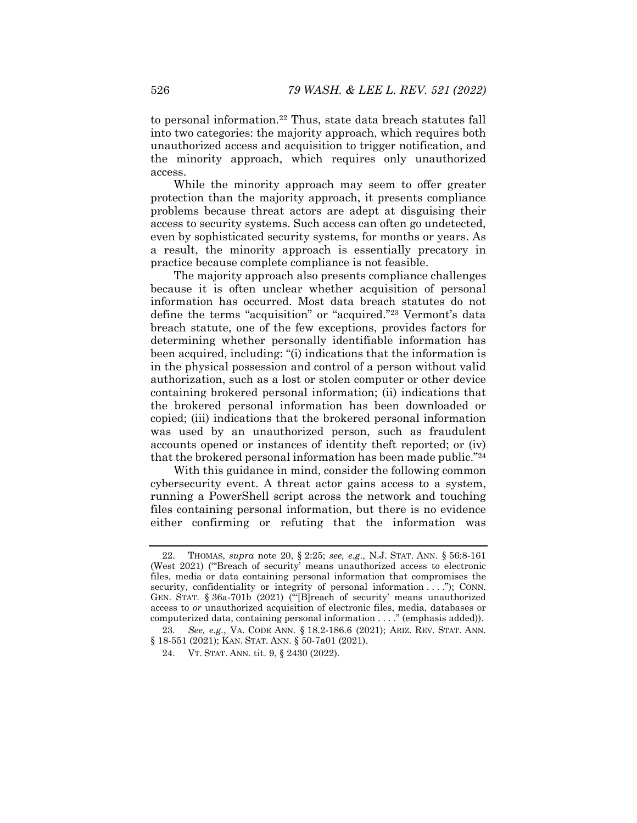to personal information.22 Thus, state data breach statutes fall into two categories: the majority approach, which requires both unauthorized access and acquisition to trigger notification, and the minority approach, which requires only unauthorized access.

While the minority approach may seem to offer greater protection than the majority approach, it presents compliance problems because threat actors are adept at disguising their access to security systems. Such access can often go undetected, even by sophisticated security systems, for months or years. As a result, the minority approach is essentially precatory in practice because complete compliance is not feasible.

The majority approach also presents compliance challenges because it is often unclear whether acquisition of personal information has occurred. Most data breach statutes do not define the terms "acquisition" or "acquired."23 Vermont's data breach statute, one of the few exceptions, provides factors for determining whether personally identifiable information has been acquired, including: "(i) indications that the information is in the physical possession and control of a person without valid authorization, such as a lost or stolen computer or other device containing brokered personal information; (ii) indications that the brokered personal information has been downloaded or copied; (iii) indications that the brokered personal information was used by an unauthorized person, such as fraudulent accounts opened or instances of identity theft reported; or (iv) that the brokered personal information has been made public."24

With this guidance in mind, consider the following common cybersecurity event. A threat actor gains access to a system, running a PowerShell script across the network and touching files containing personal information, but there is no evidence either confirming or refuting that the information was

 <sup>22.</sup> THOMAS, *supra* note 20, § 2:25; *see, e.g*., N.J. STAT. ANN. § 56:8-161 (West 2021) ('"Breach of security' means unauthorized access to electronic files, media or data containing personal information that compromises the security, confidentiality or integrity of personal information . . . ."); CONN. GEN. STAT. § 36a-701b (2021) ('"[B]reach of security' means unauthorized access to *or* unauthorized acquisition of electronic files, media, databases or computerized data, containing personal information . . . ." (emphasis added)).

<sup>23</sup>*. See, e.g.*, VA. CODE ANN. § 18.2-186.6 (2021); ARIZ. REV. STAT. ANN. § 18-551 (2021); KAN. STAT. ANN. § 50-7a01 (2021).

 <sup>24.</sup> VT. STAT. ANN. tit. 9, § 2430 (2022).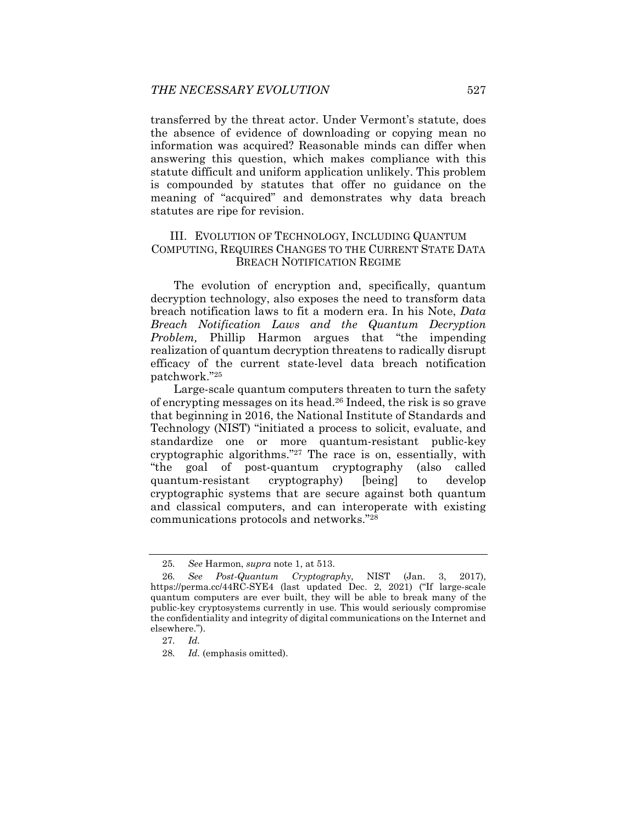transferred by the threat actor. Under Vermont's statute, does the absence of evidence of downloading or copying mean no information was acquired? Reasonable minds can differ when answering this question, which makes compliance with this statute difficult and uniform application unlikely. This problem is compounded by statutes that offer no guidance on the meaning of "acquired" and demonstrates why data breach statutes are ripe for revision.

### III. EVOLUTION OF TECHNOLOGY, INCLUDING QUANTUM COMPUTING, REQUIRES CHANGES TO THE CURRENT STATE DATA BREACH NOTIFICATION REGIME

The evolution of encryption and, specifically, quantum decryption technology, also exposes the need to transform data breach notification laws to fit a modern era. In his Note, *Data Breach Notification Laws and the Quantum Decryption Problem,* Phillip Harmon argues that "the impending realization of quantum decryption threatens to radically disrupt efficacy of the current state-level data breach notification patchwork."25

Large-scale quantum computers threaten to turn the safety of encrypting messages on its head.26 Indeed, the risk is so grave that beginning in 2016, the National Institute of Standards and Technology (NIST) "initiated a process to solicit, evaluate, and standardize one or more quantum-resistant public-key cryptographic algorithms."27 The race is on, essentially, with "the goal of post-quantum cryptography (also called quantum-resistant cryptography) [being] to develop cryptographic systems that are secure against both quantum and classical computers, and can interoperate with existing communications protocols and networks."28

<sup>25</sup>*. See* Harmon, *supra* note 1, at 513.

<sup>26</sup>*. See Post-Quantum Cryptography*, NIST (Jan. 3, 2017), https://perma.cc/44RC-SYE4 (last updated Dec. 2, 2021) ("If large-scale quantum computers are ever built, they will be able to break many of the public-key cryptosystems currently in use. This would seriously compromise the confidentiality and integrity of digital communications on the Internet and elsewhere.").

<sup>27</sup>*. Id.*

<sup>28</sup>*. Id.* (emphasis omitted).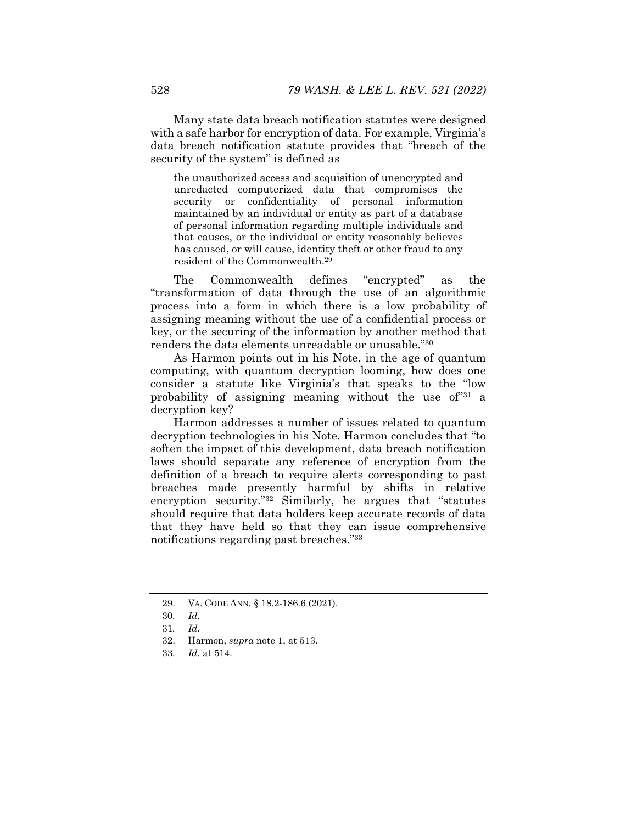Many state data breach notification statutes were designed with a safe harbor for encryption of data. For example, Virginia's data breach notification statute provides that "breach of the security of the system" is defined as

the unauthorized access and acquisition of unencrypted and unredacted computerized data that compromises the security or confidentiality of personal information maintained by an individual or entity as part of a database of personal information regarding multiple individuals and that causes, or the individual or entity reasonably believes has caused, or will cause, identity theft or other fraud to any resident of the Commonwealth.29

The Commonwealth defines "encrypted" as the "transformation of data through the use of an algorithmic process into a form in which there is a low probability of assigning meaning without the use of a confidential process or key, or the securing of the information by another method that renders the data elements unreadable or unusable."30

As Harmon points out in his Note, in the age of quantum computing, with quantum decryption looming, how does one consider a statute like Virginia's that speaks to the "low probability of assigning meaning without the use of"31 a decryption key?

Harmon addresses a number of issues related to quantum decryption technologies in his Note. Harmon concludes that "to soften the impact of this development, data breach notification laws should separate any reference of encryption from the definition of a breach to require alerts corresponding to past breaches made presently harmful by shifts in relative encryption security."32 Similarly, he argues that "statutes should require that data holders keep accurate records of data that they have held so that they can issue comprehensive notifications regarding past breaches."33

 <sup>29.</sup> VA. CODE ANN. § 18.2-186.6 (2021).

<sup>30</sup>*. Id*.

<sup>31</sup>*. Id.*

 <sup>32.</sup> Harmon, *supra* note 1, at 513.

<sup>33</sup>*. Id.* at 514.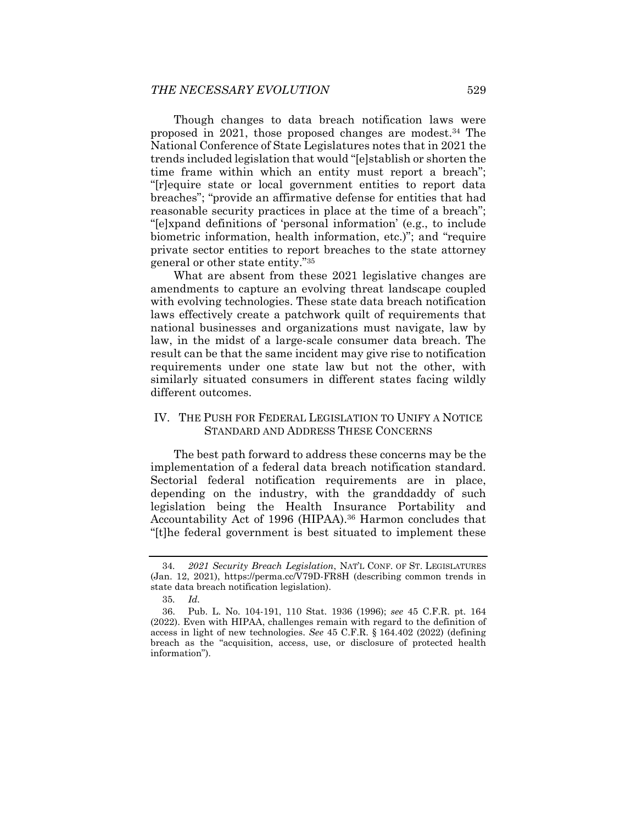Though changes to data breach notification laws were proposed in 2021, those proposed changes are modest.34 The National Conference of State Legislatures notes that in 2021 the trends included legislation that would "[e]stablish or shorten the time frame within which an entity must report a breach"; "[r]equire state or local government entities to report data breaches"; "provide an affirmative defense for entities that had reasonable security practices in place at the time of a breach"; "[e]xpand definitions of 'personal information' (e.g., to include biometric information, health information, etc.)"; and "require private sector entities to report breaches to the state attorney general or other state entity."35

What are absent from these 2021 legislative changes are amendments to capture an evolving threat landscape coupled with evolving technologies. These state data breach notification laws effectively create a patchwork quilt of requirements that national businesses and organizations must navigate, law by law, in the midst of a large-scale consumer data breach. The result can be that the same incident may give rise to notification requirements under one state law but not the other, with similarly situated consumers in different states facing wildly different outcomes.

## IV. THE PUSH FOR FEDERAL LEGISLATION TO UNIFY A NOTICE STANDARD AND ADDRESS THESE CONCERNS

The best path forward to address these concerns may be the implementation of a federal data breach notification standard. Sectorial federal notification requirements are in place, depending on the industry, with the granddaddy of such legislation being the Health Insurance Portability and Accountability Act of 1996 (HIPAA).36 Harmon concludes that "[t]he federal government is best situated to implement these

<sup>34</sup>*. 2021 Security Breach Legislation*, NAT'L CONF. OF ST. LEGISLATURES (Jan. 12, 2021), https://perma.cc/V79D-FR8H (describing common trends in state data breach notification legislation).

<sup>35</sup>*. Id.*

 <sup>36.</sup> Pub. L. No. 104-191, 110 Stat. 1936 (1996); *see* 45 C.F.R. pt. 164 (2022). Even with HIPAA, challenges remain with regard to the definition of access in light of new technologies. *See* 45 C.F.R. § 164.402 (2022) (defining breach as the "acquisition, access, use, or disclosure of protected health information").